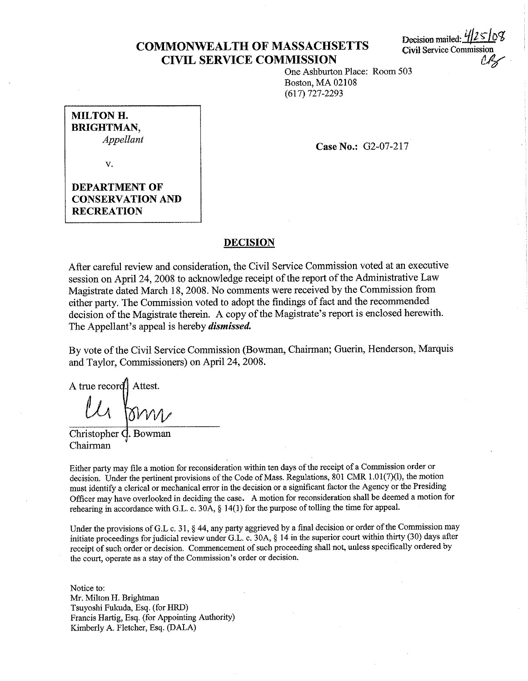## **COMMONWEALTH OF MASSACHSETTS CIVIL SERVICE COMMISSION**

Decision mailed: **Civil** Service Commission  $\mathscr{A}$ 

One Ashburton Place: Room 503 Boston, MA 02108 (617) 727-2293

**MILTON H. BRIGHTMAN,**  *Appellant* 

**Case No.: G2-07-217** 

V.

**DEPARTMENT OF CONSERVATION AND RECREATION** 

#### **DECISION**

After careful review and consideration, the Civil Service Commission voted at an executive session on April 24, 2008 to acknowledge receipt of the report of the Administrative Law Magistrate dated March 18, 2008. No comments were received by the Commission from either party. The Commission voted to adopt the findings of fact and the recommended decision of the Magistrate therein. A copy of the Magistrate's report is enclosed herewith. The Appellant's appeal is hereby *dismissed.* 

By vote of the Civil Service Commission (Bowman, Chairman; Guerin, Henderson, Marquis and Taylor, Commissioners) on April 24, 2008.

A true record. Attest.

Christopher C. Bowman Chairman

Either party may file a motion for reconsideration within ten days of the receipt of a Commission order or decision. Under the pertinent provisions of the Code of Mass. Regulations, 801 CMR 1.01(7)(1), the motion must identify a clerical or mechanical error in the decision or a significant factor the Agency or the Presiding Officer may have overlooked in deciding the case. A motion for reconsideration shall be deemed a motion for rehearing in accordance with G.L. c. 30A, § 14(1) for the purpose of tolling the time for appeal.

Under the provisions of G.L c. 31, § 44, any party aggrieved by a final decision or order of the Commission may initiate proceedings for judicial review under G.L. c. 30A, § 14 in the superior court within thirty (30) days after receipt of such order or decision. Commencement of such proceeding shall not, unless specifically ordered by **the court, operate as a stay of the Commission's order or decision.** 

Notice to: Mr. Milton H. Brightman Tsuyoshi Fukuda, Esq. (for HRD) Francis Hartig, Esq. (for Appointing Authority) Kimberly A. Fletcher, Esq. (DALA)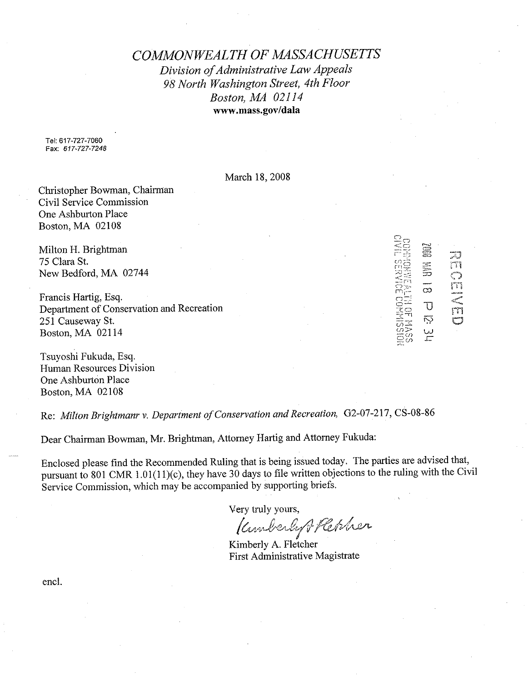*COMMONWEALTH OF MASSACHUSETTS Division of Administrative Law Appeals 98 North Washington Street, 4th Floor Boston, MA 02114*  **www.mass.gov/dala** 

Tel: 617-727-7060 Fax: *617-727-7248* 

March 18, 2008

Christopher Bowman, Chairman Civil Service Commission One Ashburton Place Boston, MA 02108

Milton H. Brightman 75 Clara St. New Bedford, MA 02744

Francis Hartig, Esq. Department of Conservation and Recreation 251 Causeway St. Boston, MA 02114

Tsuyoshi Fukuda, Esq. Human Resources Division One Ashburton Place Boston, MA 02108

Re: *Milton Brightmanr v. Department of Conservation and Recreation,* 02-07-217, CS-08-86

Dear Chairman Bowman, Mr. Brightman, Attorney Hartig and Attorney Fukuda:

Enclosed please find the Recommended Ruling that is being issued today. The parties are advised that, pursuant to 801 CMR 1.01(11)(c), they have 30 days to file written objections to the ruling with the Civil Service Commission, which may be accompanied by supporting briefs.

Very truly yours,

/tM4*,'-~v&(C1-*/CCe,;/;,tJl/l-

rn t<br>L

i i

 $\infty$  $\overline{\mathrm{U}}$ ស្ថ یں<br>سا J m

KimberJy A. Fletcher First Administrative Magistrate

encl.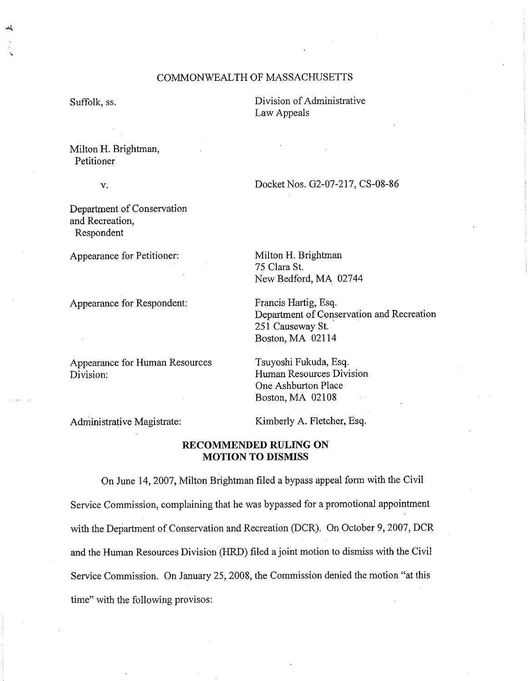## COMMONWEAL TH OF MASSACHUSETTS

Suffolk, ss.

Division of Administrative Law Appeals

Milton H. Brightman, Petitioner

V.

Department of Conservation and Recreation, Respondent

Appearance for Petitioner:

Appearance for Respondent:

Appearance for Human Resources Division:

Docket Nos. 02-07-217, CS-08-86

Milton H. Brightman 75 Clara St. New Bedford, MA 02744

Francis Hartig, Esq. Department of Conservation and Recreation 251 Causeway St. Boston, MA 02114

Tsuyoshi Fukuda, Esq. Human Resources Division One Ashburton Place Boston, MA 02108

Administrative Magistrate:

Kimberly A. Fletcher, Esq.

### **RECOMMENDED RULING ON MOTION TO DISMISS**

On June 14, 2007, Milton Brightman filed a bypass appeal form with the Civil Service Commission, complaining that he was bypassed for a promotional appointment with the Department of Conservation and Recreation (DCR). On October 9, 2007, DCR and the Human Resources Division (HRD) filed a joint motion to dismiss with the Civil Service Commission. On January 25, 2008, the Commission denied the motion "at this time" with the following provisos: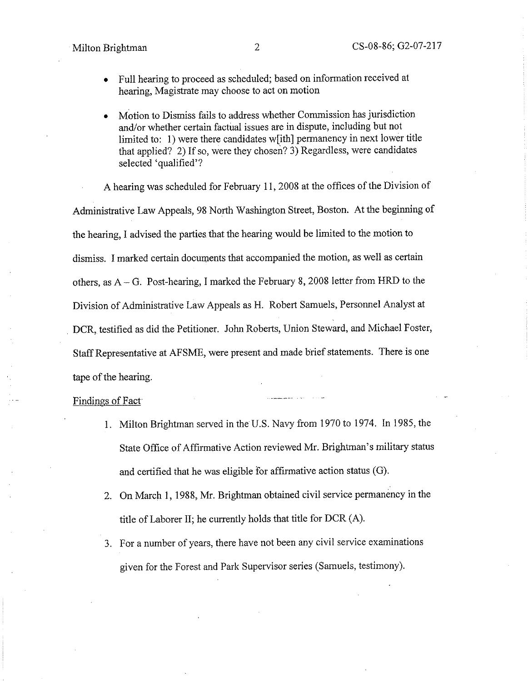- Full hearing to proceed as scheduled; based on information received at hearing, Magistrate may choose to act on motion
- Motion to Dismiss fails to address whether Commission has jurisdiction and/or whether certain factual issues are in dispute, including but not limited to: 1) were there candidates w[ith] permanency in next lower title that applied? 2) If so, were they chosen? 3) Regardless, were candidates selected 'qualified'?

A hearing was scheduled for February 11, 2008 at the offices of the Division of Administrative Law Appeals, 98 North Washington Street, Boston. At the beginning of the hearing, I advised the parties. that the hearing would be limited to the motion to dismiss. I marked certain documents that accompanied the motion, as well as certain others, as A- G. Post-hearing, I marked the February 8, 2008 letter from HRD to the Division of Administrative Law Appeals as H. Robert Samuels, Personnel Analyst at DCR, testified as did the Petitioner. John Roberts, Union Steward, and Michael Foster, Staff Representative at AFSME, were present and made brief statements. There is one tape of the hearing.

#### Findings of Fact

- 1. Milton Brightman served in the U.S. Navy from I 970 to 1974. In I 985, the State Office of Affirmative Action reviewed Mr. Brightman's military status and certified that he was eligible for affirmative action status (G).
- 2. On March 1, 1988, Mr. Brightman obtained civil service permanency in the title of Laborer II; he currently holds that title for DCR (A).
- 3. For a number of years, there have not been any civil service examinations given for the Forest and Park Supervisor series (Samuels, testimony).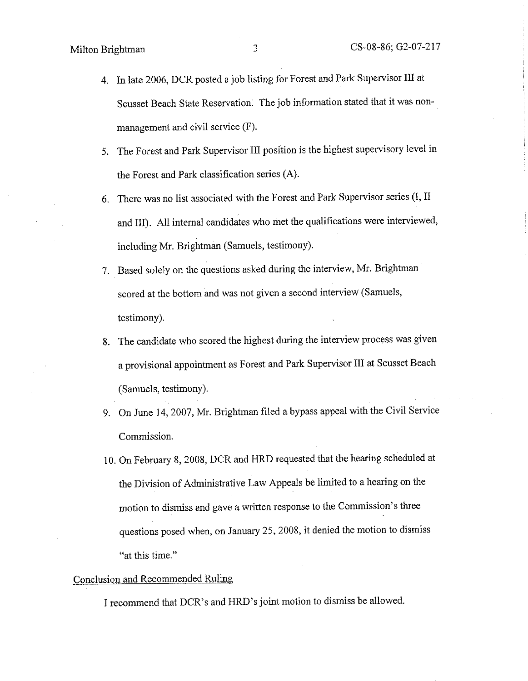- 4. In late 2006, DCR posted a job listing for Forest and Park Supervisor III at Scusset Beach State Reservation. The job information stated that it was nonmanagement and civil service (F).
- 5. The Forest and Park Supervisor III position is the highest supervisory level in the Forest and Park classification series (A).
- 6. There was no list associated with the Forest and Park Supervisor series (I, II and III). All internal candidates who met the qualifications were interviewed, including Mr. Brightman (Samuels, testimony).
- 7. Based solely on the questions asked during the interview, Mr. Brightman scored at the bottom and was not given a second interview (Samuels, testimony).
- 8. The candidate who scored the highest during the interview process was given a provisional appointment as Forest and Park Supervisor III at Scusset Beach (Samuels, testimony).
- 9. On June 14, 2007, Mr. Brightman filed a bypass appeal with the Civil Service Commission.
- 10. On February 8, 2008, DCR and HRD requested that the hearing scheduled at the Division of Administrative Law Appeals be limited to a hearing on the motion to dismiss and gave a written response to the Commission's three questions posed when, on January 25, 2008, it denied the motion to dismiss "at this time."

# Conclusion and Recommended Ruling

I recommend that DCR's and HRD's joint motion to dismiss be allowed.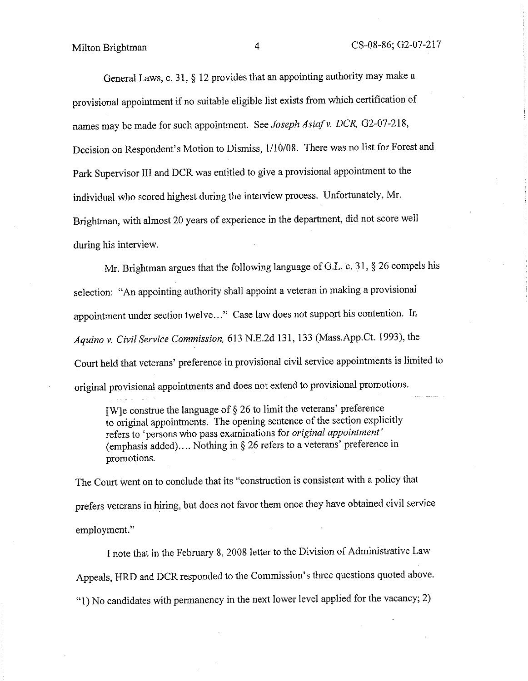General Laws, c. 31, § 12 provides that an appointing authority may make a provisional appointment if no suitable eligible list exists from which certification of names may be made for such appointment. See *Joseph Asia/ v. DCR,* 02-07-218, Decision on Respondent's Motion to Dismiss, 1/10/08. There was no list for Forest and Park Supervisor III and DCR was entitled to give a provisional appointment to the individual who scored highest during the interview process. Unfortunately, Mr. Brightman, with almost 20 years of experience in the department, did not score well during his interview.

Mr. Brightman argues that the following language of G.L. c. 31, § 26 compels his selection: "An appointing authority shall appoint a veteran in making a provisional appointment under section twelve..." Case law does not support his contention. In *Aquino v. Civil Service Commission,* 613 N.E.2d 131, 133 (Mass.App.Ct. 1993), the Court held that veterans' preference in provisional civil service appointments is limited to original provisional appointments and does not extend to provisional promotions.

[W]e construe the language of  $\S 26$  to limit the veterans' preference to original appointments. The opening sentence of the section explicitly refers to 'persons who pass examinations for *original appointment'*  (emphasis added) .... Nothing in§ 26 refers to a veterans' preference in promotions.

The Court went on to conclude that its "construction is consistent with a policy that prefers veterans in hiring, but does not favor them once they have obtained civil service employment."

I note that in the February 8, 2008 letter to the Division of Administrative Law Appeals, HRD and DCR responded to the Commission's three questions quoted above. "l) No candidates with permanency in the next lower level applied for the vacancy; 2)